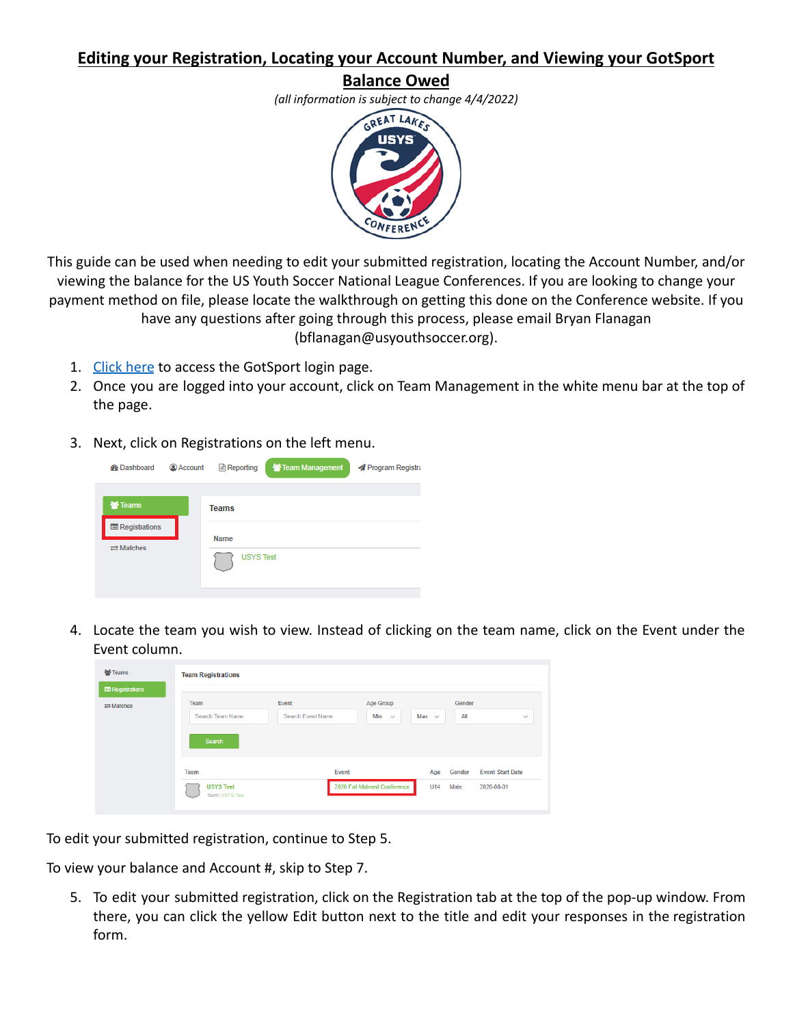## **Editing your Registration, Locating your Account Number, and Viewing your GotSport**

## **Balance Owed**

*(all information is subject to change 4/4/2022)*



This guide can be used when needing to edit your submitted registration, locating the Account Number, and/or viewing the balance for the US Youth Soccer National League Conferences. If you are looking to change your payment method on file, please locate the walkthrough on getting this done on the Conference website. If you have any questions after going through this process, please email Bryan Flanagan (bflanagan@usyouthsoccer.org).

- 1. [Click here](https://system.gotsport.com/) to access the GotSport login page.
- 2. Once you are logged into your account, click on Team Management in the white menu bar at the top of the page.
- 3. Next, click on Registrations on the left menu.

| <b>Ph</b> Dashboard        | <b>Account</b> | <b>Reporting</b> | Team Management | Program Registra |
|----------------------------|----------------|------------------|-----------------|------------------|
| <b>髻 Teams</b>             |                | <b>Teams</b>     |                 |                  |
| <b>E</b> Registrations     |                | <b>Name</b>      |                 |                  |
| $\rightleftarrows$ Matches |                | <b>USYS Test</b> |                 |                  |

4. Locate the team you wish to view. Instead of clicking on the team name, click on the Event under the Event column.

| 쌀 Teams<br><b>E</b> Registrations | <b>Team Registrations</b> |                          |                     |            |        |                         |
|-----------------------------------|---------------------------|--------------------------|---------------------|------------|--------|-------------------------|
| $\rightleftarrows$ Matches        | Team                      | Event                    | Age Group           |            | Gender |                         |
|                                   | <b>Search Team Name</b>   | <b>Search Event Name</b> | Min<br>$\checkmark$ | Max $\sim$ | All    | $\checkmark$            |
|                                   |                           |                          |                     |            |        |                         |
|                                   | Search<br>Team            | Event                    |                     | Age        | Gender | <b>Event Start Date</b> |

To edit your submitted registration, continue to Step 5.

To view your balance and Account #, skip to Step 7.

5. To edit your submitted registration, click on the Registration tab at the top of the pop-up window. From there, you can click the yellow Edit button next to the title and edit your responses in the registration form.